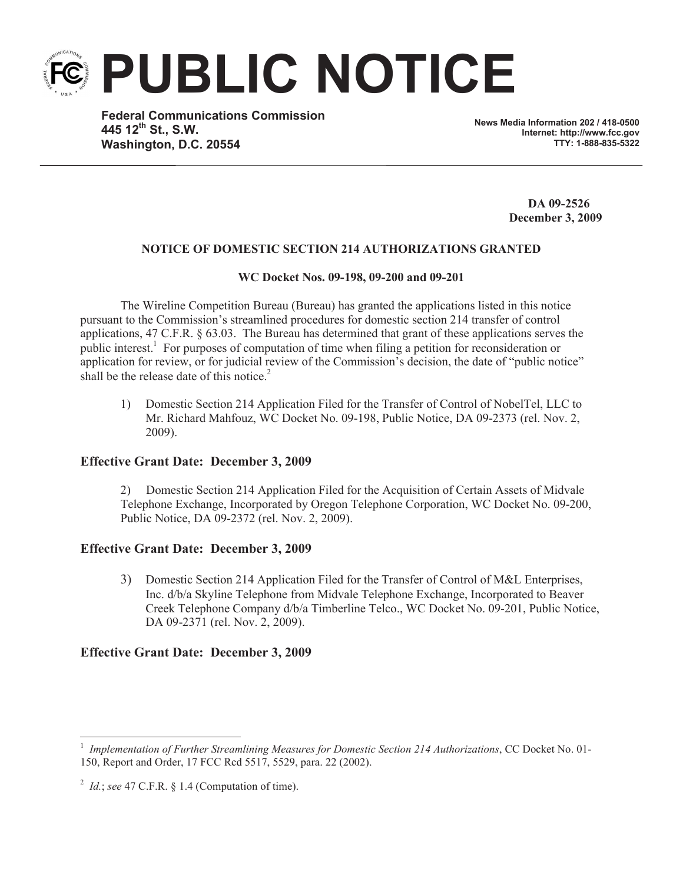

**PUBLIC NOTICE**

**Federal Communications Commission 445 12th St., S.W. Washington, D.C. 20554**

**News Media Information 202 / 418-0500 Internet: http://www.fcc.gov TTY: 1-888-835-5322**

> **DA 09-2526 December 3, 2009**

# **NOTICE OF DOMESTIC SECTION 214 AUTHORIZATIONS GRANTED**

## **WC Docket Nos. 09-198, 09-200 and 09-201**

The Wireline Competition Bureau (Bureau) has granted the applications listed in this notice pursuant to the Commission's streamlined procedures for domestic section 214 transfer of control applications, 47 C.F.R. § 63.03. The Bureau has determined that grant of these applications serves the public interest.<sup>1</sup> For purposes of computation of time when filing a petition for reconsideration or application for review, or for judicial review of the Commission's decision, the date of "public notice" shall be the release date of this notice.<sup>2</sup>

1) Domestic Section 214 Application Filed for the Transfer of Control of NobelTel, LLC to Mr. Richard Mahfouz, WC Docket No. 09-198, Public Notice, DA 09-2373 (rel. Nov. 2, 2009).

## **Effective Grant Date: December 3, 2009**

2) Domestic Section 214 Application Filed for the Acquisition of Certain Assets of Midvale Telephone Exchange, Incorporated by Oregon Telephone Corporation, WC Docket No. 09-200, Public Notice, DA 09-2372 (rel. Nov. 2, 2009).

## **Effective Grant Date: December 3, 2009**

3) Domestic Section 214 Application Filed for the Transfer of Control of M&L Enterprises, Inc. d/b/a Skyline Telephone from Midvale Telephone Exchange, Incorporated to Beaver Creek Telephone Company d/b/a Timberline Telco., WC Docket No. 09-201, Public Notice, DA 09-2371 (rel. Nov. 2, 2009).

## **Effective Grant Date: December 3, 2009**

<sup>1</sup> *Implementation of Further Streamlining Measures for Domestic Section 214 Authorizations*, CC Docket No. 01- 150, Report and Order, 17 FCC Rcd 5517, 5529, para. 22 (2002).

<sup>2</sup> *Id.*; *see* 47 C.F.R. § 1.4 (Computation of time).